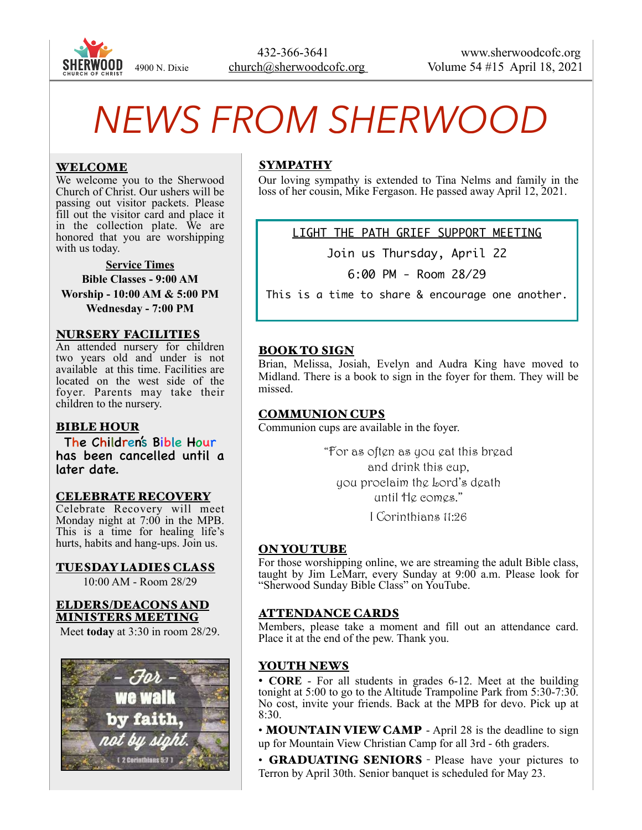

# *NEWS FROM SHERWOOD*

## WELCOME

We welcome you to the Sherwood Church of Christ. Our ushers will be passing out visitor packets. Please fill out the visitor card and place it in the collection plate. We are honored that you are worshipping with us today.

**Service Times Bible Classes - 9:00 AM Worship - 10:00 AM & 5:00 PM Wednesday - 7:00 PM** 

#### NURSERY FACILITIES

An attended nursery for children two years old and under is not available at this time. Facilities are located on the west side of the foyer. Parents may take their children to the nursery.

#### BIBLE HOUR

The Children's Bible Hour has been cancelled until a later date.

#### CELEBRATE RECOVERY

Celebrate Recovery will meet Monday night at 7:00 in the MPB. This is a time for healing life's hurts, habits and hang-ups. Join us.

TUESDAY LADIES CLASS 10:00 AM - Room 28/29

#### ELDERS/DEACONS AND MINISTERS MEETING

Meet **today** at 3:30 in room 28/29.



### SYMPATHY

Our loving sympathy is extended to Tina Nelms and family in the loss of her cousin, Mike Fergason. He passed away April 12, 2021.

LIGHT THE PATH GRIEF SUPPORT MEETING

Join us Thursday, April 22

6:00 PM - Room 28/29

This is a time to share & encourage one another.

### BOOK TO SIGN

Brian, Melissa, Josiah, Evelyn and Audra King have moved to Midland. There is a book to sign in the foyer for them. They will be missed.

#### COMMUNION CUPS

Communion cups are available in the foyer.

"For as often as you eat this bread and drink this cup, you proclaim the Lord's death until He comes."

I Corinthians 11:26

# ON YOU TUBE

For those worshipping online, we are streaming the adult Bible class, taught by Jim LeMarr, every Sunday at 9:00 a.m. Please look for "Sherwood Sunday Bible Class" on YouTube.

#### ATTENDANCE CARDS

Members, please take a moment and fill out an attendance card. Place it at the end of the pew. Thank you.

# YOUTH NEWS

• **CORE** - For all students in grades 6-12. Meet at the building tonight at 5:00 to go to the Altitude Trampoline Park from 5:30-7:30. No cost, invite your friends. Back at the MPB for devo. Pick up at 8:30.

• MOUNTAIN VIEW CAMP - April 28 is the deadline to sign up for Mountain View Christian Camp for all 3rd - 6th graders.

• GRADUATING SENIORS - Please have your pictures to Terron by April 30th. Senior banquet is scheduled for May 23.